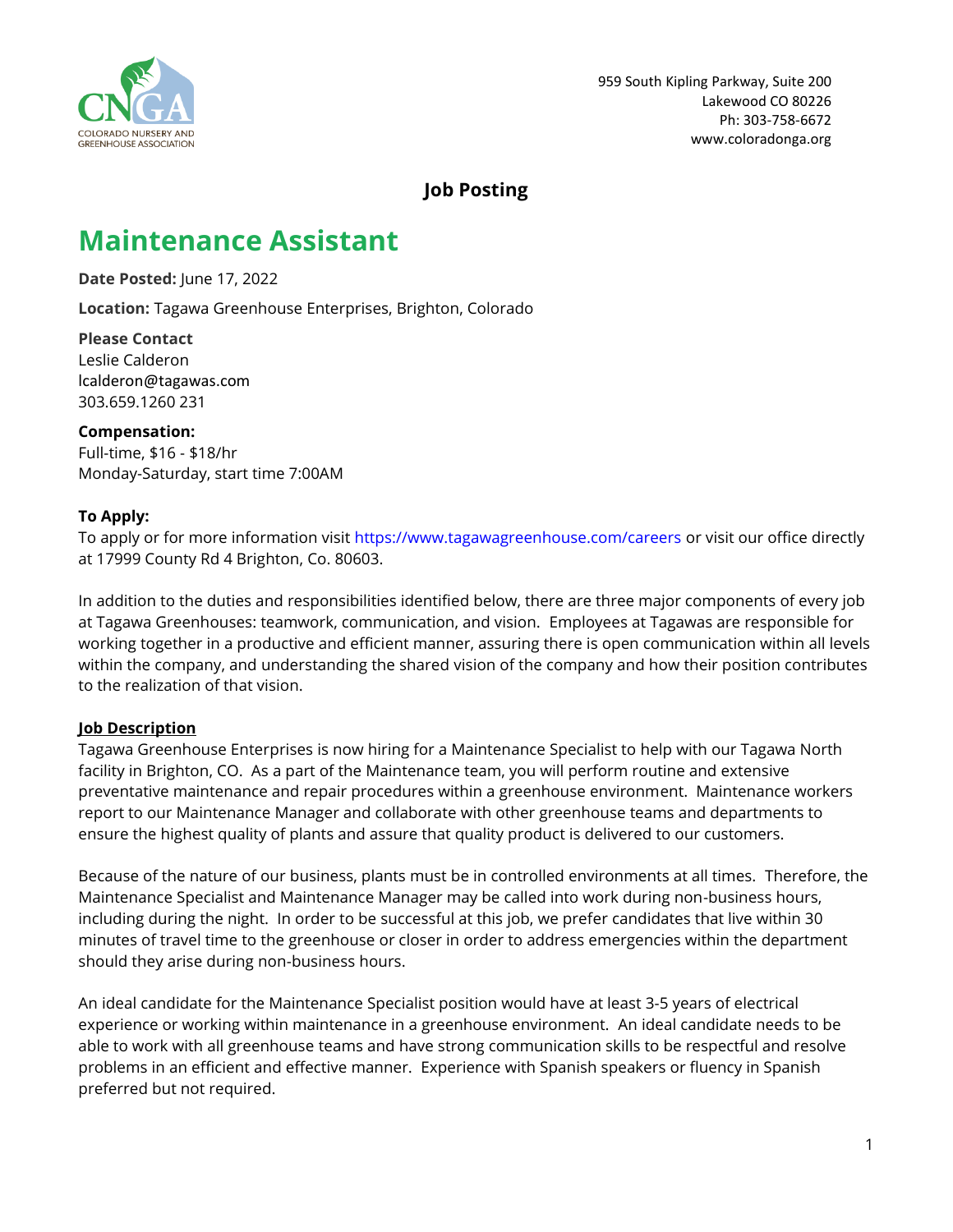

## **Job Posting**

# **Maintenance Assistant**

**Date Posted:** June 17, 2022

**Location:** Tagawa Greenhouse Enterprises, Brighton, Colorado

**Please Contact** Leslie Calderon lcalderon@tagawas.com 303.659.1260 231

**Compensation:** Full-time, \$16 - \$18/hr Monday-Saturday, start time 7:00AM

#### **To Apply:**

To apply or for more information visit <https://www.tagawagreenhouse.com/careers> or visit our office directly at 17999 County Rd 4 Brighton, Co. 80603.

In addition to the duties and responsibilities identified below, there are three major components of every job at Tagawa Greenhouses: teamwork, communication, and vision. Employees at Tagawas are responsible for working together in a productive and efficient manner, assuring there is open communication within all levels within the company, and understanding the shared vision of the company and how their position contributes to the realization of that vision.

#### **Job Description**

Tagawa Greenhouse Enterprises is now hiring for a Maintenance Specialist to help with our Tagawa North facility in Brighton, CO. As a part of the Maintenance team, you will perform routine and extensive preventative maintenance and repair procedures within a greenhouse environment. Maintenance workers report to our Maintenance Manager and collaborate with other greenhouse teams and departments to ensure the highest quality of plants and assure that quality product is delivered to our customers.

Because of the nature of our business, plants must be in controlled environments at all times. Therefore, the Maintenance Specialist and Maintenance Manager may be called into work during non-business hours, including during the night. In order to be successful at this job, we prefer candidates that live within 30 minutes of travel time to the greenhouse or closer in order to address emergencies within the department should they arise during non-business hours.

An ideal candidate for the Maintenance Specialist position would have at least 3-5 years of electrical experience or working within maintenance in a greenhouse environment. An ideal candidate needs to be able to work with all greenhouse teams and have strong communication skills to be respectful and resolve problems in an efficient and effective manner. Experience with Spanish speakers or fluency in Spanish preferred but not required.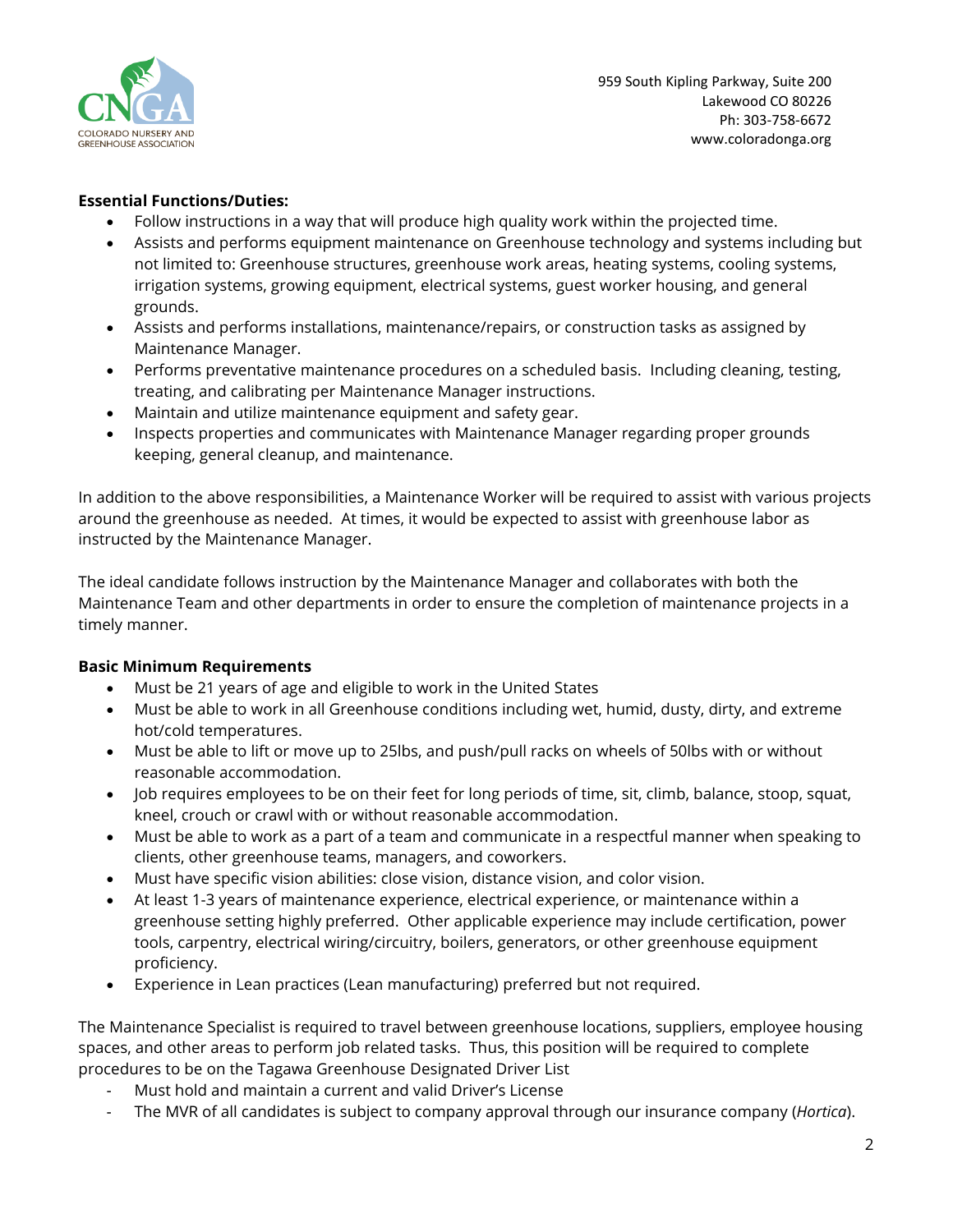

959 South Kipling Parkway, Suite 200 Lakewood CO 80226 Ph: 303-758-6672 [www.coloradonga.org](http://www.coloradonga.org/)

### **Essential Functions/Duties:**

- Follow instructions in a way that will produce high quality work within the projected time.
- Assists and performs equipment maintenance on Greenhouse technology and systems including but not limited to: Greenhouse structures, greenhouse work areas, heating systems, cooling systems, irrigation systems, growing equipment, electrical systems, guest worker housing, and general grounds.
- Assists and performs installations, maintenance/repairs, or construction tasks as assigned by Maintenance Manager.
- Performs preventative maintenance procedures on a scheduled basis. Including cleaning, testing, treating, and calibrating per Maintenance Manager instructions.
- Maintain and utilize maintenance equipment and safety gear.
- Inspects properties and communicates with Maintenance Manager regarding proper grounds keeping, general cleanup, and maintenance.

In addition to the above responsibilities, a Maintenance Worker will be required to assist with various projects around the greenhouse as needed. At times, it would be expected to assist with greenhouse labor as instructed by the Maintenance Manager.

The ideal candidate follows instruction by the Maintenance Manager and collaborates with both the Maintenance Team and other departments in order to ensure the completion of maintenance projects in a timely manner.

#### **Basic Minimum Requirements**

- Must be 21 years of age and eligible to work in the United States
- Must be able to work in all Greenhouse conditions including wet, humid, dusty, dirty, and extreme hot/cold temperatures.
- Must be able to lift or move up to 25lbs, and push/pull racks on wheels of 50lbs with or without reasonable accommodation.
- Job requires employees to be on their feet for long periods of time, sit, climb, balance, stoop, squat, kneel, crouch or crawl with or without reasonable accommodation.
- Must be able to work as a part of a team and communicate in a respectful manner when speaking to clients, other greenhouse teams, managers, and coworkers.
- Must have specific vision abilities: close vision, distance vision, and color vision.
- At least 1-3 years of maintenance experience, electrical experience, or maintenance within a greenhouse setting highly preferred. Other applicable experience may include certification, power tools, carpentry, electrical wiring/circuitry, boilers, generators, or other greenhouse equipment proficiency.
- Experience in Lean practices (Lean manufacturing) preferred but not required.

The Maintenance Specialist is required to travel between greenhouse locations, suppliers, employee housing spaces, and other areas to perform job related tasks. Thus, this position will be required to complete procedures to be on the Tagawa Greenhouse Designated Driver List

- Must hold and maintain a current and valid Driver's License
- The MVR of all candidates is subject to company approval through our insurance company (*Hortica*).